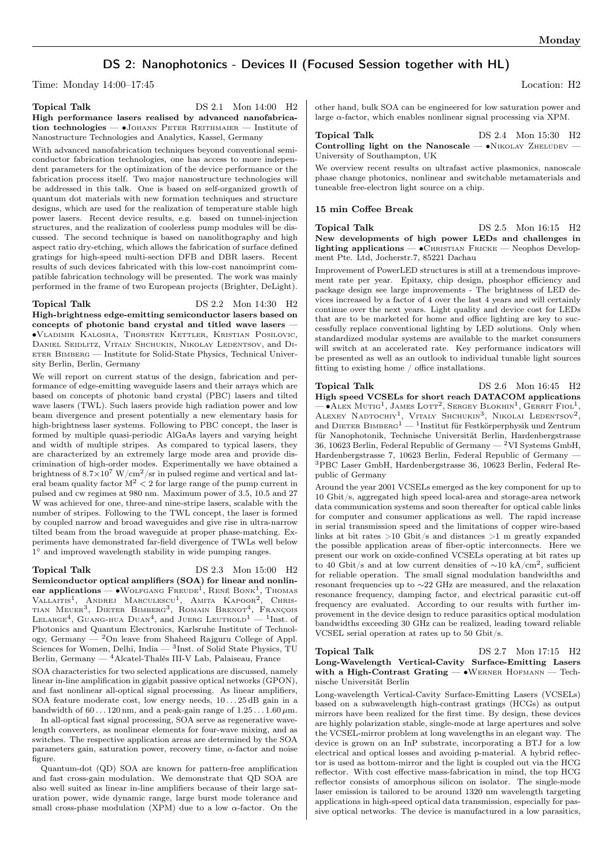# DS 2: Nanophotonics - Devices II (Focused Session together with HL)

Time: Monday 14:00–17:45 Location: H2

## Topical Talk DS 2.1 Mon 14:00 H2 High performance lasers realised by advanced nanofabrication technologies — ∙Johann Peter Reithmaier — Institute of Nanostructure Technologies and Analytics, Kassel, Germany

With advanced nanofabrication techniques beyond conventional semiconductor fabrication technologies, one has access to more independent parameters for the optimization of the device performance or the fabrication process itself. Two major nanostructure technologies will be addressed in this talk. One is based on self-organized growth of quantum dot materials with new formation techniques and structure designs, which are used for the realization of temperature stable high power lasers. Recent device results, e.g. based on tunnel-injection structures, and the realization of coolerless pump modules will be discussed. The second technique is based on nanolithography and high aspect ratio dry-etching, which allows the fabrication of surface defined gratings for high-speed multi-section DFB and DBR lasers. Recent results of such devices fabricated with this low-cost nanoimprint compatible fabrication technology will be presented. The work was mainly performed in the frame of two European projects (Brighter, DeLight).

Topical Talk DS 2.2 Mon 14:30 H2 High-brightness edge-emitting semiconductor lasers based on concepts of photonic band crystal and titled wave lasers — ∙Vladimir Kalosha, Thorsten Kettler, Kristian Posilovic, Daniel Seidlitz, Vitaly Shchukin, Nikolay Ledentsov, and Di-ETER BIMBERG — Institute for Solid-State Physics, Technical University Berlin, Berlin, Germany

We will report on current status of the design, fabrication and performance of edge-emitting waveguide lasers and their arrays which are based on concepts of photonic band crystal (PBC) lasers and tilted wave lasers (TWL). Such lasers provide high radiation power and low beam divergence and present potentially a new elementary basis for high-brightness laser systems. Following to PBC concept, the laser is formed by multiple quasi-periodic AlGaAs layers and varying height and width of multiple stripes. As compared to typical lasers, they are characterized by an extremely large mode area and provide discrimination of high-order modes. Experimentally we have obtained a brightness of  $8.7 \times 10^7$  W/cm<sup>2</sup>/sr in pulsed regime and vertical and lateral beam quality factor  $M^2 < 2$  for large range of the pump current in pulsed and cw regimes at 980 nm. Maximum power of 3.5, 10.5 and 27 W was achieved for one, three-and nine-stripe lasers, scalable with the number of stripes. Following to the TWL concept, the laser is formed by coupled narrow and broad waveguides and give rise in ultra-narrow tilted beam from the broad waveguide at proper phase-matching. Experiments have demonstrated far-field divergence of TWLs well below 1 <sup>∘</sup> and improved wavelength stability in wide pumping ranges.

Topical Talk  $DS 2.3$  Mon 15:00 H<sub>2</sub> Semiconductor optical amplifiers (SOA) for linear and nonlin-

ear applications — •Wolfgang Freude<sup>1</sup>, René Bonk<sup>1</sup>, Thomas<br>Vallaitis<sup>1</sup>, Andrej Marculescu<sup>1</sup>, Amita Kapoor<sup>2</sup>, Chris-TIAN MEUER<sup>3</sup>, DIETER BIMBERG<sup>3</sup>, ROMAIN BRENOT<sup>4</sup>, FRANÇOIS<br>LELARGE<sup>4</sup>, GUANG-HUA DUAN<sup>4</sup>, and JUERG LEUTHOLD<sup>1</sup> — <sup>1</sup>Inst. of Photonics and Quantum Electronics, Karlsruhe Institute of Technology, Germany  $\frac{1}{2}$ On leave from Shaheed Rajguru College of Appl. Sciences for Women, Delhi, India — <sup>3</sup>Inst. of Solid State Physics, TU Berlin, Germany — <sup>4</sup>Alcatel-Thalès III-V Lab, Palaiseau, France

SOA characteristics for two selected applications are discussed, namely linear in-line amplification in gigabit passive optical networks (GPON), and fast nonlinear all-optical signal processing. As linear amplifiers, SOA feature moderate cost, low energy needs,  $10...25$  dB gain in a bandwidth of  $60 \dots 120$  nm, and a peak-gain range of  $1.25 \dots 1.60 \,\mu$ m.

In all-optical fast signal processing, SOA serve as regenerative wavelength converters, as nonlinear elements for four-wave mixing, and as switches. The respective application areas are determined by the SOA parameters gain, saturation power, recovery time,  $\alpha$ -factor and noise figure.

Quantum-dot (QD) SOA are known for pattern-free amplification and fast cross-gain modulation. We demonstrate that QD SOA are also well suited as linear in-line amplifiers because of their large saturation power, wide dynamic range, large burst mode tolerance and small cross-phase modulation (XPM) due to a low  $\alpha$ -factor. On the

other hand, bulk SOA can be engineered for low saturation power and large  $\alpha$ -factor, which enables nonlinear signal processing via XPM.

Topical Talk  $DS 2.4$  Mon 15:30 H2 Controlling light on the Nanoscale —  $\bullet$ NIKOLAY ZHELUDEV — University of Southampton, UK

We overview recent results on ultrafast active plasmonics, nanoscale phase change photonics, nonlinear and switchable metamaterials and tuneable free-electron light source on a chip.

## 15 min Coffee Break

Topical Talk DS 2.5 Mon 16:15 H2 New developments of high power LEDs and challenges in lighting applications — • CHRISTIAN FRICKE — Neophos Development Pte. Ltd, Jocherstr.7, 85221 Dachau

Improvement of PowerLED structures is still at a tremendous improvement rate per year. Epitaxy, chip design, phosphor efficiency and package design see large improvements - The brightness of LED devices increased by a factor of 4 over the last 4 years and will certainly continue over the next years. Light quality and device cost for LEDs that are to be marketed for home and office lighting are key to successfully replace conventional lighting by LED solutions. Only when standardized modular systems are available to the market consumers will switch at an accelerated rate. Key performance indicators will be presented as well as an outlook to individual tunable light sources fitting to existing home  $\mathbin{/}$  office installations.

Topical Talk DS 2.6 Mon 16:45 H2

High speed VCSELs for short reach DATACOM applications — •Аlex Mutig<sup>1</sup>, James Lott<sup>2</sup>, Sergey Blokhin<sup>1</sup>, Gerrit Fiol<sup>1</sup>, ALEXEY NADTOCHIY<sup>1</sup>, VITALY SHCHUKIN<sup>3</sup>, NIKOLAI LEDENTSOV<sup>2</sup>, and DIETER BIMBERG<sup>1</sup> — <sup>1</sup>Institut für Festkörperphysik und Zentrum für Nanophotonik, Technische Universität Berlin, Hardenbergstrasse 36, 10623 Berlin, Federal Republic of Germany  $-$  <sup>2</sup>VI Systems GmbH, Hardenbergstrasse 7, 10623 Berlin, Federal Republic of Germany — <sup>3</sup>PBC Laser GmbH, Hardenbergstrasse 36, 10623 Berlin, Federal Republic of Germany

Around the year 2001 VCSELs emerged as the key component for up to 10 Gbit/s, aggregated high speed local-area and storage-area network data communication systems and soon thereafter for optical cable links for computer and consumer applications as well. The rapid increase in serial transmission speed and the limitations of copper wire-based links at bit rates >10 Gbit/s and distances >1 m greatly expanded the possible application areas of fiber-optic interconnects. Here we present our work on oxide-confined VCSELs operating at bit rates up to 40 Gbit/s and at low current densities of ∼10 kA/cm<sup>2</sup> , sufficient for reliable operation. The small signal modulation bandwidths and resonant frequencies up to ∼22 GHz are measured, and the relaxation resonance frequency, damping factor, and electrical parasitic cut-off frequency are evaluated. According to our results with further improvement in the device design to reduce parasitics optical modulation bandwidths exceeding 30 GHz can be realized, leading toward reliable VCSEL serial operation at rates up to 50 Gbit/s.

## Topical Talk DS 2.7 Mon 17:15 H2 Long-Wavelength Vertical-Cavity Surface-Emitting Lasers with a High-Contrast Grating — •WERNER HOFMANN — Technische Universität Berlin

Long-wavelength Vertical-Cavity Surface-Emitting Lasers (VCSELs) based on a subwavelength high-contrast gratings (HCGs) as output mirrors have been realized for the first time. By design, these devices are highly polarization stable, single-mode at large apertures and solve the VCSEL-mirror problem at long wavelengths in an elegant way. The device is grown on an InP substrate, incorporating a BTJ for a low electrical and optical losses and avoiding p-material. A hybrid reflector is used as bottom-mirror and the light is coupled out via the HCG reflector. With cost effective mass-fabrication in mind, the top HCG reflector consists of amorphous silicon on isolator. The single-mode laser emission is tailored to be around 1320 nm wavelength targeting applications in high-speed optical data transmission, especially for passive optical networks. The device is manufactured in a low parasitics,